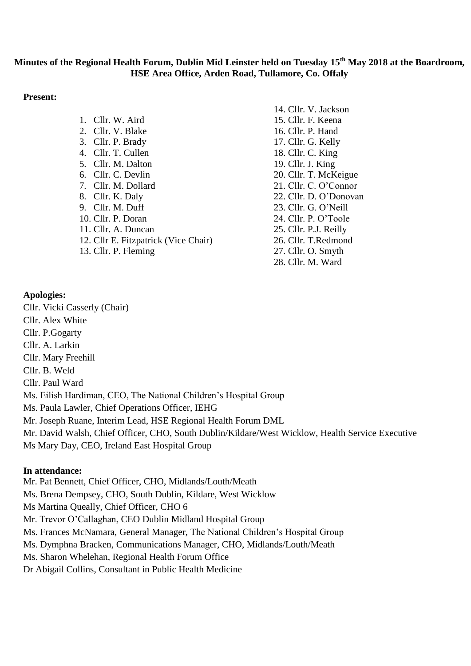# **Minutes of the Regional Health Forum, Dublin Mid Leinster held on Tuesday 15th May 2018 at the Boardroom, HSE Area Office, Arden Road, Tullamore, Co. Offaly**

### **Present:**

|                                      | .  .         |
|--------------------------------------|--------------|
| 1. Cllr. W. Aird                     | 15.6         |
| 2. Cllr. V. Blake                    | $16. \, G$   |
| 3. Cllr. P. Brady                    | 17.6         |
| 4. Cllr. T. Cullen                   | 18. <i>C</i> |
| 5. Cllr. M. Dalton                   | 19.0         |
| 6. Cllr. C. Devlin                   | 20.6         |
| 7. Cllr. M. Dollard                  | 21.0         |
| 8. Cllr. K. Daly                     | 22.0         |
| 9. Cllr. M. Duff                     | 23.0         |
| 10. Cllr. P. Doran                   | 24.0         |
| 11. Cllr. A. Duncan                  | 25.0         |
| 12. Cllr E. Fitzpatrick (Vice Chair) | 26.0         |
| 13. Cllr. P. Fleming                 | 27.6         |
|                                      |              |

14. Cllr. V. Jackson 15. Cllr. F. Keena Cllr. P. Hand Cllr. G. Kelly Cllr. C. King Cllr. J. King Cllr. T. McKeigue Cllr. C. O'Connor Cllr. D. O'Donovan Cllr. G. O'Neill Cllr. P. O'Toole Cllr. P.J. Reilly Cllr. T.Redmond Cllr. O. Smyth 28. Cllr. M. Ward

### **Apologies:**

Cllr. Vicki Casserly (Chair) Cllr. Alex White Cllr. P.Gogarty Cllr. A. Larkin Cllr. Mary Freehill Cllr. B. Weld Cllr. Paul Ward Ms. Eilish Hardiman, CEO, The National Children's Hospital Group Ms. Paula Lawler, Chief Operations Officer, IEHG Mr. Joseph Ruane, Interim Lead, HSE Regional Health Forum DML Mr. David Walsh, Chief Officer, CHO, South Dublin/Kildare/West Wicklow, Health Service Executive Ms Mary Day, CEO, Ireland East Hospital Group

### **In attendance:**

Mr. Pat Bennett, Chief Officer, CHO, Midlands/Louth/Meath Ms. Brena Dempsey, CHO, South Dublin, Kildare, West Wicklow Ms Martina Queally, Chief Officer, CHO 6 Mr. Trevor O'Callaghan, CEO Dublin Midland Hospital Group Ms. Frances McNamara, General Manager, The National Children's Hospital Group Ms. Dymphna Bracken, Communications Manager, CHO, Midlands/Louth/Meath Ms. Sharon Whelehan, Regional Health Forum Office Dr Abigail Collins, Consultant in Public Health Medicine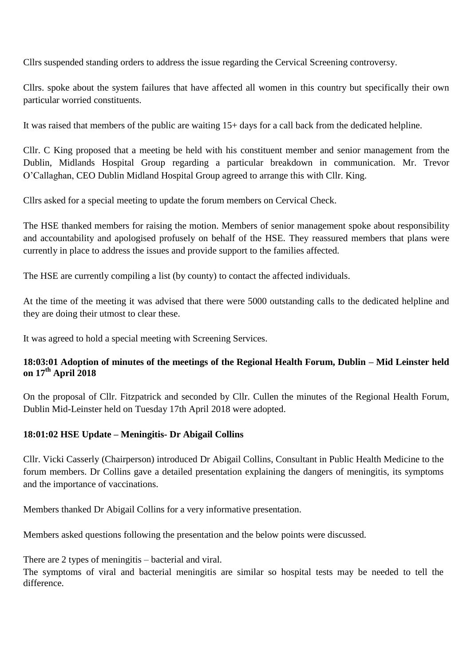Cllrs suspended standing orders to address the issue regarding the Cervical Screening controversy.

Cllrs. spoke about the system failures that have affected all women in this country but specifically their own particular worried constituents.

It was raised that members of the public are waiting 15+ days for a call back from the dedicated helpline.

Cllr. C King proposed that a meeting be held with his constituent member and senior management from the Dublin, Midlands Hospital Group regarding a particular breakdown in communication. Mr. Trevor O'Callaghan, CEO Dublin Midland Hospital Group agreed to arrange this with Cllr. King.

Cllrs asked for a special meeting to update the forum members on Cervical Check.

The HSE thanked members for raising the motion. Members of senior management spoke about responsibility and accountability and apologised profusely on behalf of the HSE. They reassured members that plans were currently in place to address the issues and provide support to the families affected.

The HSE are currently compiling a list (by county) to contact the affected individuals.

At the time of the meeting it was advised that there were 5000 outstanding calls to the dedicated helpline and they are doing their utmost to clear these.

It was agreed to hold a special meeting with Screening Services.

# **18:03:01 Adoption of minutes of the meetings of the Regional Health Forum, Dublin – Mid Leinster held on 17th April 2018**

On the proposal of Cllr. Fitzpatrick and seconded by Cllr. Cullen the minutes of the Regional Health Forum, Dublin Mid-Leinster held on Tuesday 17th April 2018 were adopted.

## **18:01:02 HSE Update – Meningitis- Dr Abigail Collins**

Cllr. Vicki Casserly (Chairperson) introduced Dr Abigail Collins, Consultant in Public Health Medicine to the forum members. Dr Collins gave a detailed presentation explaining the dangers of meningitis, its symptoms and the importance of vaccinations.

Members thanked Dr Abigail Collins for a very informative presentation.

Members asked questions following the presentation and the below points were discussed.

There are 2 types of meningitis – bacterial and viral.

The symptoms of viral and bacterial meningitis are similar so hospital tests may be needed to tell the difference.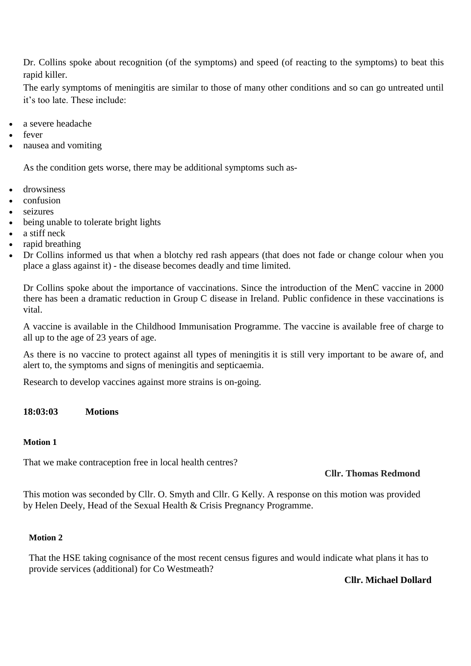Dr. Collins spoke about recognition (of the symptoms) and speed (of reacting to the symptoms) to beat this rapid killer.

The early symptoms of meningitis are similar to those of many other conditions and so can go untreated until it's too late. These include:

- a severe headache
- fever
- nausea and vomiting

As the condition gets worse, there may be additional symptoms such as-

- drowsiness
- confusion
- seizures
- being unable to tolerate bright lights
- $\bullet$  a stiff neck
- rapid breathing
- Dr Collins informed us that when a blotchy red rash appears (that does not fade or change colour when you place a glass against it) - the disease becomes deadly and time limited.

Dr Collins spoke about the importance of vaccinations. Since the introduction of the MenC vaccine in 2000 there has been a dramatic reduction in Group C disease in Ireland. Public confidence in these vaccinations is vital.

A vaccine is available in the Childhood Immunisation Programme. The vaccine is available free of charge to all up to the age of 23 years of age.

As there is no vaccine to protect against all types of meningitis it is still very important to be aware of, and alert to, the symptoms and signs of meningitis and septicaemia.

Research to develop vaccines against more strains is on-going.

### **18:03:03 Motions**

### **Motion 1**

That we make contraception free in local health centres?

## **Cllr. Thomas Redmond**

This motion was seconded by Cllr. O. Smyth and Cllr. G Kelly. A response on this motion was provided by Helen Deely, Head of the Sexual Health & Crisis Pregnancy Programme.

### **Motion 2**

That the HSE taking cognisance of the most recent census figures and would indicate what plans it has to provide services (additional) for Co Westmeath?

### **Cllr. Michael Dollard**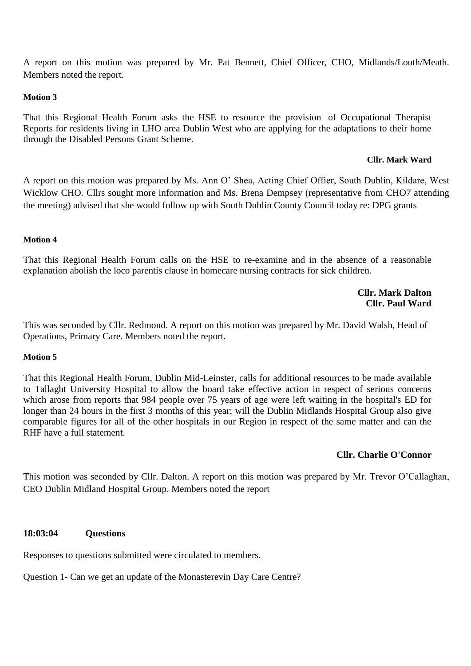A report on this motion was prepared by Mr. Pat Bennett, Chief Officer, CHO, Midlands/Louth/Meath. Members noted the report.

### **Motion 3**

That this Regional Health Forum asks the HSE to resource the provision of Occupational Therapist Reports for residents living in LHO area Dublin West who are applying for the adaptations to their home through the Disabled Persons Grant Scheme.

#### **Cllr. Mark Ward**

A report on this motion was prepared by Ms. Ann O' Shea, Acting Chief Offier, South Dublin, Kildare, West Wicklow CHO. Cllrs sought more information and Ms. Brena Dempsey (representative from CHO7 attending the meeting) advised that she would follow up with South Dublin County Council today re: DPG grants

#### **Motion 4**

That this Regional Health Forum calls on the HSE to re-examine and in the absence of a reasonable explanation abolish the loco parentis clause in homecare nursing contracts for sick children.

### **Cllr. Mark Dalton Cllr. Paul Ward**

This was seconded by Cllr. Redmond. A report on this motion was prepared by Mr. David Walsh, Head of Operations, Primary Care. Members noted the report.

#### **Motion 5**

That this Regional Health Forum, Dublin Mid-Leinster, calls for additional resources to be made available to Tallaght University Hospital to allow the board take effective action in respect of serious concerns which arose from reports that 984 people over 75 years of age were left waiting in the hospital's ED for longer than 24 hours in the first 3 months of this year; will the Dublin Midlands Hospital Group also give comparable figures for all of the other hospitals in our Region in respect of the same matter and can the RHF have a full statement.

### **Cllr. Charlie O'Connor**

This motion was seconded by Cllr. Dalton. A report on this motion was prepared by Mr. Trevor O'Callaghan, CEO Dublin Midland Hospital Group. Members noted the report

### **18:03:04 Questions**

Responses to questions submitted were circulated to members.

Question 1- Can we get an update of the Monasterevin Day Care Centre?